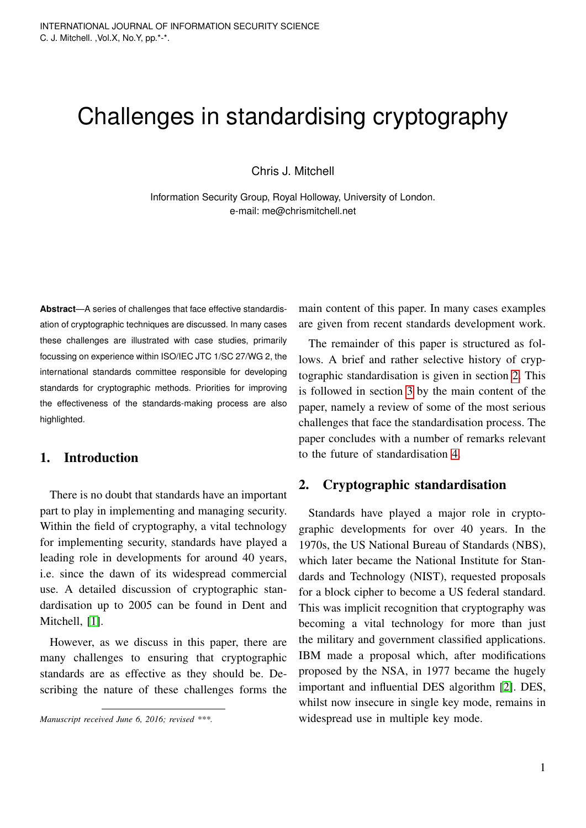# Challenges in standardising cryptography

Chris J. Mitchell

Information Security Group, Royal Holloway, University of London. e-mail: me@chrismitchell.net

**Abstract**—A series of challenges that face effective standardisation of cryptographic techniques are discussed. In many cases these challenges are illustrated with case studies, primarily focussing on experience within ISO/IEC JTC 1/SC 27/WG 2, the international standards committee responsible for developing standards for cryptographic methods. Priorities for improving the effectiveness of the standards-making process are also highlighted.

# 1. Introduction

There is no doubt that standards have an important part to play in implementing and managing security. Within the field of cryptography, a vital technology for implementing security, standards have played a leading role in developments for around 40 years, i.e. since the dawn of its widespread commercial use. A detailed discussion of cryptographic standardisation up to 2005 can be found in Dent and Mitchell, [\[1\]](#page-7-0).

However, as we discuss in this paper, there are many challenges to ensuring that cryptographic standards are as effective as they should be. Describing the nature of these challenges forms the

*Manuscript received June 6, 2016; revised \*\*\*.*

main content of this paper. In many cases examples are given from recent standards development work.

The remainder of this paper is structured as follows. A brief and rather selective history of cryptographic standardisation is given in section [2.](#page-0-0) This is followed in section [3](#page-2-0) by the main content of the paper, namely a review of some of the most serious challenges that face the standardisation process. The paper concludes with a number of remarks relevant to the future of standardisation [4.](#page-6-0)

#### <span id="page-0-0"></span>2. Cryptographic standardisation

Standards have played a major role in cryptographic developments for over 40 years. In the 1970s, the US National Bureau of Standards (NBS), which later became the National Institute for Standards and Technology (NIST), requested proposals for a block cipher to become a US federal standard. This was implicit recognition that cryptography was becoming a vital technology for more than just the military and government classified applications. IBM made a proposal which, after modifications proposed by the NSA, in 1977 became the hugely important and influential DES algorithm [\[2\]](#page-7-1). DES, whilst now insecure in single key mode, remains in widespread use in multiple key mode.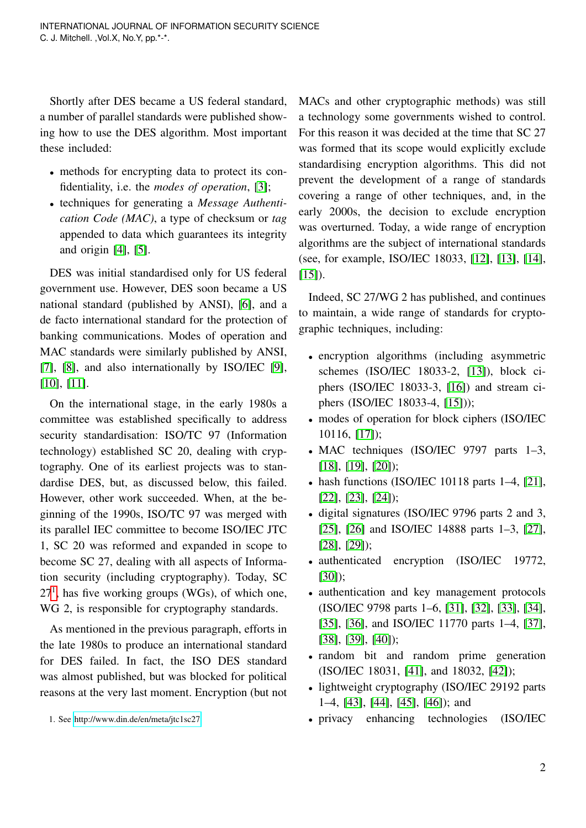Shortly after DES became a US federal standard, a number of parallel standards were published showing how to use the DES algorithm. Most important these included:

- methods for encrypting data to protect its confidentiality, i.e. the *modes of operation*, [\[3\]](#page-7-2);
- techniques for generating a *Message Authentication Code (MAC)*, a type of checksum or *tag* appended to data which guarantees its integrity and origin [\[4\]](#page-7-3), [\[5\]](#page-7-4).

DES was initial standardised only for US federal government use. However, DES soon became a US national standard (published by ANSI), [\[6\]](#page-7-5), and a de facto international standard for the protection of banking communications. Modes of operation and MAC standards were similarly published by ANSI, [\[7\]](#page-7-6), [\[8\]](#page-7-7), and also internationally by ISO/IEC [\[9\]](#page-7-8), [\[10\]](#page-7-9), [\[11\]](#page-7-10).

On the international stage, in the early 1980s a committee was established specifically to address security standardisation: ISO/TC 97 (Information technology) established SC 20, dealing with cryptography. One of its earliest projects was to standardise DES, but, as discussed below, this failed. However, other work succeeded. When, at the beginning of the 1990s, ISO/TC 97 was merged with its parallel IEC committee to become ISO/IEC JTC 1, SC 20 was reformed and expanded in scope to become SC 27, dealing with all aspects of Information security (including cryptography). Today, SC  $27<sup>1</sup>$  $27<sup>1</sup>$  $27<sup>1</sup>$ , has five working groups (WGs), of which one, WG 2, is responsible for cryptography standards.

As mentioned in the previous paragraph, efforts in the late 1980s to produce an international standard for DES failed. In fact, the ISO DES standard was almost published, but was blocked for political reasons at the very last moment. Encryption (but not

MACs and other cryptographic methods) was still a technology some governments wished to control. For this reason it was decided at the time that SC 27 was formed that its scope would explicitly exclude standardising encryption algorithms. This did not prevent the development of a range of standards covering a range of other techniques, and, in the early 2000s, the decision to exclude encryption was overturned. Today, a wide range of encryption algorithms are the subject of international standards (see, for example, ISO/IEC 18033, [\[12\]](#page-7-11), [\[13\]](#page-7-12), [\[14\]](#page-7-13),  $[15]$ .

Indeed, SC 27/WG 2 has published, and continues to maintain, a wide range of standards for cryptographic techniques, including:

- encryption algorithms (including asymmetric schemes (ISO/IEC 18033-2, [\[13\]](#page-7-12)), block ciphers (ISO/IEC 18033-3, [\[16\]](#page-7-15)) and stream ciphers (ISO/IEC 18033-4, [\[15\]](#page-7-14)));
- modes of operation for block ciphers (ISO/IEC 10116, [\[17\]](#page-7-16));
- MAC techniques (ISO/IEC 9797 parts 1-3, [\[18\]](#page-7-17), [\[19\]](#page-7-18), [\[20\]](#page-7-19));
- hash functions (ISO/IEC 10118 parts 1–4, [\[21\]](#page-7-20), [\[22\]](#page-7-21), [\[23\]](#page-7-22), [\[24\]](#page-7-23));
- digital signatures (ISO/IEC 9796 parts 2 and 3, [\[25\]](#page-7-24), [\[26\]](#page-7-25) and ISO/IEC 14888 parts 1–3, [\[27\]](#page-8-0), [\[28\]](#page-8-1), [\[29\]](#page-8-2));
- authenticated encryption (ISO/IEC 19772, [\[30\]](#page-8-3));
- authentication and key management protocols (ISO/IEC 9798 parts 1–6, [\[31\]](#page-8-4), [\[32\]](#page-8-5), [\[33\]](#page-8-6), [\[34\]](#page-8-7), [\[35\]](#page-8-8), [\[36\]](#page-8-9), and ISO/IEC 11770 parts 1–4, [\[37\]](#page-8-10), [\[38\]](#page-8-11), [\[39\]](#page-8-12), [\[40\]](#page-8-13));
- random bit and random prime generation (ISO/IEC 18031, [\[41\]](#page-8-14), and 18032, [\[42\]](#page-8-15));
- lightweight cryptography (ISO/IEC 29192 parts 1–4, [\[43\]](#page-8-16), [\[44\]](#page-8-17), [\[45\]](#page-8-18), [\[46\]](#page-8-19)); and
- privacy enhancing technologies (ISO/IEC

<span id="page-1-0"></span><sup>1.</sup> See<http://www.din.de/en/meta/jtc1sc27>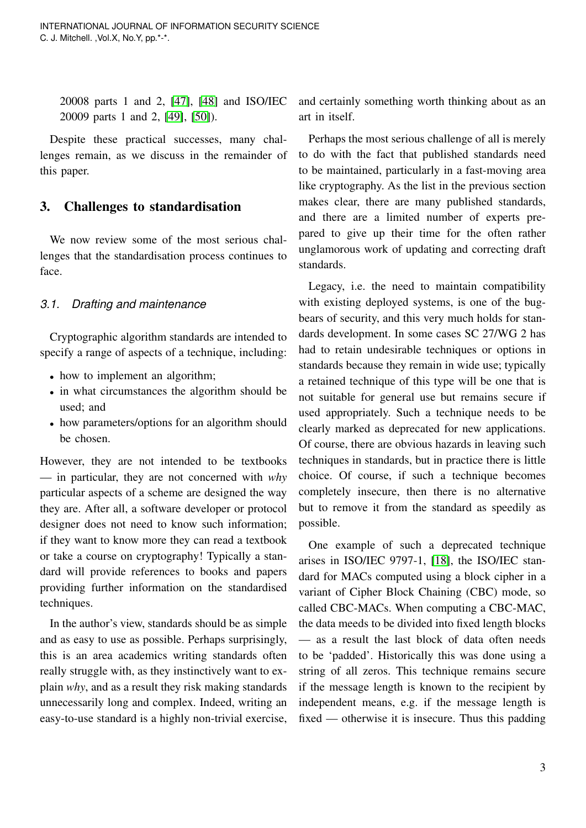20008 parts 1 and 2, [\[47\]](#page-8-20), [\[48\]](#page-8-21) and ISO/IEC 20009 parts 1 and 2, [\[49\]](#page-8-22), [\[50\]](#page-8-23)).

Despite these practical successes, many challenges remain, as we discuss in the remainder of this paper.

## <span id="page-2-0"></span>3. Challenges to standardisation

We now review some of the most serious challenges that the standardisation process continues to face.

#### *3.1. Drafting and maintenance*

Cryptographic algorithm standards are intended to specify a range of aspects of a technique, including:

- how to implement an algorithm;
- in what circumstances the algorithm should be used; and
- how parameters/options for an algorithm should be chosen.

However, they are not intended to be textbooks — in particular, they are not concerned with *why* particular aspects of a scheme are designed the way they are. After all, a software developer or protocol designer does not need to know such information; if they want to know more they can read a textbook or take a course on cryptography! Typically a standard will provide references to books and papers providing further information on the standardised techniques.

In the author's view, standards should be as simple and as easy to use as possible. Perhaps surprisingly, this is an area academics writing standards often really struggle with, as they instinctively want to explain *why*, and as a result they risk making standards unnecessarily long and complex. Indeed, writing an easy-to-use standard is a highly non-trivial exercise, and certainly something worth thinking about as an art in itself.

Perhaps the most serious challenge of all is merely to do with the fact that published standards need to be maintained, particularly in a fast-moving area like cryptography. As the list in the previous section makes clear, there are many published standards, and there are a limited number of experts prepared to give up their time for the often rather unglamorous work of updating and correcting draft standards.

Legacy, i.e. the need to maintain compatibility with existing deployed systems, is one of the bugbears of security, and this very much holds for standards development. In some cases SC 27/WG 2 has had to retain undesirable techniques or options in standards because they remain in wide use; typically a retained technique of this type will be one that is not suitable for general use but remains secure if used appropriately. Such a technique needs to be clearly marked as deprecated for new applications. Of course, there are obvious hazards in leaving such techniques in standards, but in practice there is little choice. Of course, if such a technique becomes completely insecure, then there is no alternative but to remove it from the standard as speedily as possible.

One example of such a deprecated technique arises in ISO/IEC 9797-1, [\[18\]](#page-7-17), the ISO/IEC standard for MACs computed using a block cipher in a variant of Cipher Block Chaining (CBC) mode, so called CBC-MACs. When computing a CBC-MAC, the data meeds to be divided into fixed length blocks — as a result the last block of data often needs to be 'padded'. Historically this was done using a string of all zeros. This technique remains secure if the message length is known to the recipient by independent means, e.g. if the message length is fixed — otherwise it is insecure. Thus this padding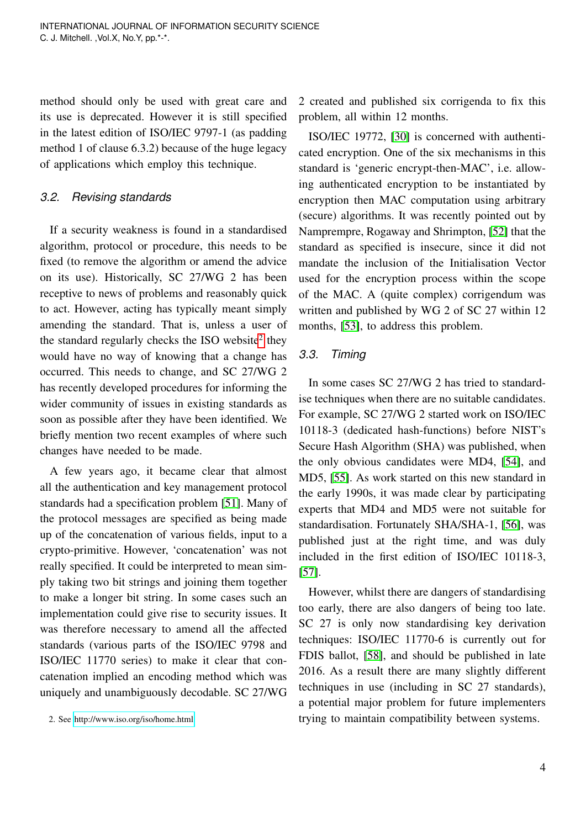method should only be used with great care and its use is deprecated. However it is still specified in the latest edition of ISO/IEC 9797-1 (as padding method 1 of clause 6.3.2) because of the huge legacy of applications which employ this technique.

### *3.2. Revising standards*

If a security weakness is found in a standardised algorithm, protocol or procedure, this needs to be fixed (to remove the algorithm or amend the advice on its use). Historically, SC 27/WG 2 has been receptive to news of problems and reasonably quick to act. However, acting has typically meant simply amending the standard. That is, unless a user of the standard regularly checks the ISO website $2$  they would have no way of knowing that a change has occurred. This needs to change, and SC 27/WG 2 has recently developed procedures for informing the wider community of issues in existing standards as soon as possible after they have been identified. We briefly mention two recent examples of where such changes have needed to be made.

A few years ago, it became clear that almost all the authentication and key management protocol standards had a specification problem [\[51\]](#page-8-24). Many of the protocol messages are specified as being made up of the concatenation of various fields, input to a crypto-primitive. However, 'concatenation' was not really specified. It could be interpreted to mean simply taking two bit strings and joining them together to make a longer bit string. In some cases such an implementation could give rise to security issues. It was therefore necessary to amend all the affected standards (various parts of the ISO/IEC 9798 and ISO/IEC 11770 series) to make it clear that concatenation implied an encoding method which was uniquely and unambiguously decodable. SC 27/WG

2 created and published six corrigenda to fix this problem, all within 12 months.

ISO/IEC 19772, [\[30\]](#page-8-3) is concerned with authenticated encryption. One of the six mechanisms in this standard is 'generic encrypt-then-MAC', i.e. allowing authenticated encryption to be instantiated by encryption then MAC computation using arbitrary (secure) algorithms. It was recently pointed out by Namprempre, Rogaway and Shrimpton, [\[52\]](#page-8-25) that the standard as specified is insecure, since it did not mandate the inclusion of the Initialisation Vector used for the encryption process within the scope of the MAC. A (quite complex) corrigendum was written and published by WG 2 of SC 27 within 12 months, [\[53\]](#page-9-0), to address this problem.

#### *3.3. Timing*

In some cases SC 27/WG 2 has tried to standardise techniques when there are no suitable candidates. For example, SC 27/WG 2 started work on ISO/IEC 10118-3 (dedicated hash-functions) before NIST's Secure Hash Algorithm (SHA) was published, when the only obvious candidates were MD4, [\[54\]](#page-9-1), and MD5, [\[55\]](#page-9-2). As work started on this new standard in the early 1990s, it was made clear by participating experts that MD4 and MD5 were not suitable for standardisation. Fortunately SHA/SHA-1, [\[56\]](#page-9-3), was published just at the right time, and was duly included in the first edition of ISO/IEC 10118-3, [\[57\]](#page-9-4).

However, whilst there are dangers of standardising too early, there are also dangers of being too late. SC 27 is only now standardising key derivation techniques: ISO/IEC 11770-6 is currently out for FDIS ballot, [\[58\]](#page-9-5), and should be published in late 2016. As a result there are many slightly different techniques in use (including in SC 27 standards), a potential major problem for future implementers trying to maintain compatibility between systems.

<span id="page-3-0"></span><sup>2.</sup> See<http://www.iso.org/iso/home.html>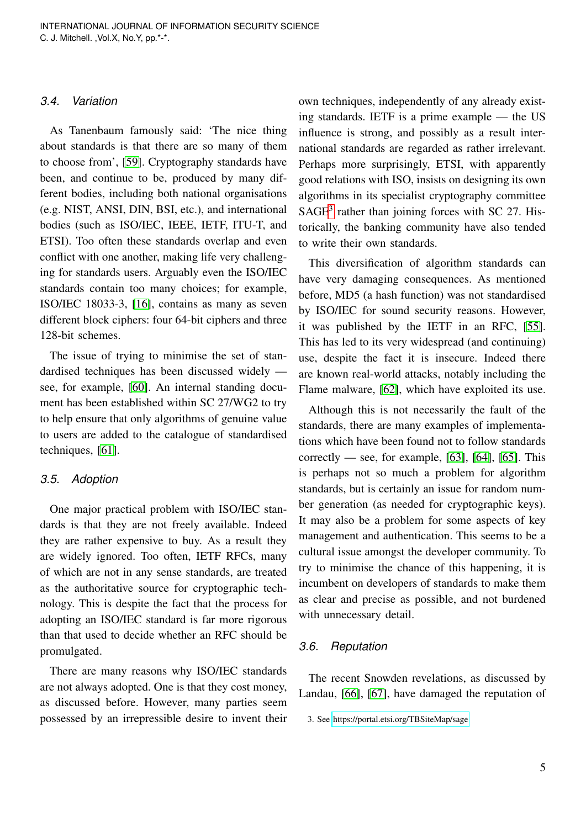#### *3.4. Variation*

As Tanenbaum famously said: 'The nice thing about standards is that there are so many of them to choose from', [\[59\]](#page-9-6). Cryptography standards have been, and continue to be, produced by many different bodies, including both national organisations (e.g. NIST, ANSI, DIN, BSI, etc.), and international bodies (such as ISO/IEC, IEEE, IETF, ITU-T, and ETSI). Too often these standards overlap and even conflict with one another, making life very challenging for standards users. Arguably even the ISO/IEC standards contain too many choices; for example, ISO/IEC 18033-3, [\[16\]](#page-7-15), contains as many as seven different block ciphers: four 64-bit ciphers and three 128-bit schemes.

The issue of trying to minimise the set of standardised techniques has been discussed widely see, for example, [\[60\]](#page-9-7). An internal standing document has been established within SC 27/WG2 to try to help ensure that only algorithms of genuine value to users are added to the catalogue of standardised techniques, [\[61\]](#page-9-8).

#### *3.5. Adoption*

One major practical problem with ISO/IEC standards is that they are not freely available. Indeed they are rather expensive to buy. As a result they are widely ignored. Too often, IETF RFCs, many of which are not in any sense standards, are treated as the authoritative source for cryptographic technology. This is despite the fact that the process for adopting an ISO/IEC standard is far more rigorous than that used to decide whether an RFC should be promulgated.

There are many reasons why ISO/IEC standards are not always adopted. One is that they cost money, as discussed before. However, many parties seem possessed by an irrepressible desire to invent their own techniques, independently of any already existing standards. IETF is a prime example — the US influence is strong, and possibly as a result international standards are regarded as rather irrelevant. Perhaps more surprisingly, ETSI, with apparently good relations with ISO, insists on designing its own algorithms in its specialist cryptography committee SAGE<sup>[3](#page-4-0)</sup> rather than joining forces with SC 27. Historically, the banking community have also tended to write their own standards.

This diversification of algorithm standards can have very damaging consequences. As mentioned before, MD5 (a hash function) was not standardised by ISO/IEC for sound security reasons. However, it was published by the IETF in an RFC, [\[55\]](#page-9-2). This has led to its very widespread (and continuing) use, despite the fact it is insecure. Indeed there are known real-world attacks, notably including the Flame malware, [\[62\]](#page-9-9), which have exploited its use.

Although this is not necessarily the fault of the standards, there are many examples of implementations which have been found not to follow standards correctly — see, for example,  $[63]$ ,  $[64]$ ,  $[65]$ . This is perhaps not so much a problem for algorithm standards, but is certainly an issue for random number generation (as needed for cryptographic keys). It may also be a problem for some aspects of key management and authentication. This seems to be a cultural issue amongst the developer community. To try to minimise the chance of this happening, it is incumbent on developers of standards to make them as clear and precise as possible, and not burdened with unnecessary detail.

#### *3.6. Reputation*

The recent Snowden revelations, as discussed by Landau, [\[66\]](#page-9-13), [\[67\]](#page-9-14), have damaged the reputation of

<span id="page-4-0"></span><sup>3.</sup> See<https://portal.etsi.org/TBSiteMap/sage>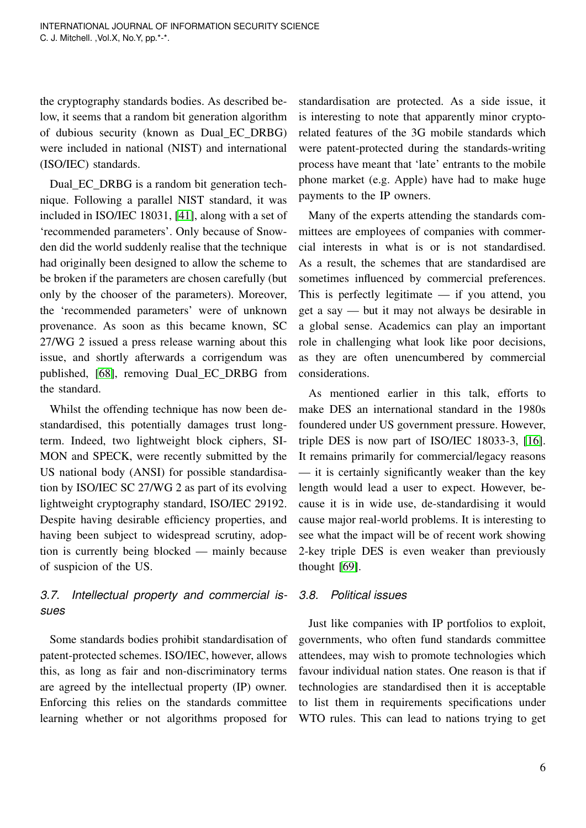the cryptography standards bodies. As described below, it seems that a random bit generation algorithm of dubious security (known as Dual EC DRBG) were included in national (NIST) and international (ISO/IEC) standards.

Dual EC DRBG is a random bit generation technique. Following a parallel NIST standard, it was included in ISO/IEC 18031, [\[41\]](#page-8-14), along with a set of 'recommended parameters'. Only because of Snowden did the world suddenly realise that the technique had originally been designed to allow the scheme to be broken if the parameters are chosen carefully (but only by the chooser of the parameters). Moreover, the 'recommended parameters' were of unknown provenance. As soon as this became known, SC 27/WG 2 issued a press release warning about this issue, and shortly afterwards a corrigendum was published, [\[68\]](#page-9-15), removing Dual EC DRBG from the standard.

Whilst the offending technique has now been destandardised, this potentially damages trust longterm. Indeed, two lightweight block ciphers, SI-MON and SPECK, were recently submitted by the US national body (ANSI) for possible standardisation by ISO/IEC SC 27/WG 2 as part of its evolving lightweight cryptography standard, ISO/IEC 29192. Despite having desirable efficiency properties, and having been subject to widespread scrutiny, adoption is currently being blocked — mainly because of suspicion of the US.

# *3.7. Intellectual property and commercial issues*

Some standards bodies prohibit standardisation of patent-protected schemes. ISO/IEC, however, allows this, as long as fair and non-discriminatory terms are agreed by the intellectual property (IP) owner. Enforcing this relies on the standards committee learning whether or not algorithms proposed for

standardisation are protected. As a side issue, it is interesting to note that apparently minor cryptorelated features of the 3G mobile standards which were patent-protected during the standards-writing process have meant that 'late' entrants to the mobile phone market (e.g. Apple) have had to make huge payments to the IP owners.

Many of the experts attending the standards committees are employees of companies with commercial interests in what is or is not standardised. As a result, the schemes that are standardised are sometimes influenced by commercial preferences. This is perfectly legitimate — if you attend, you get a say — but it may not always be desirable in a global sense. Academics can play an important role in challenging what look like poor decisions, as they are often unencumbered by commercial considerations.

As mentioned earlier in this talk, efforts to make DES an international standard in the 1980s foundered under US government pressure. However, triple DES is now part of ISO/IEC 18033-3, [\[16\]](#page-7-15). It remains primarily for commercial/legacy reasons — it is certainly significantly weaker than the key length would lead a user to expect. However, because it is in wide use, de-standardising it would cause major real-world problems. It is interesting to see what the impact will be of recent work showing 2-key triple DES is even weaker than previously thought [\[69\]](#page-9-16).

#### *3.8. Political issues*

Just like companies with IP portfolios to exploit, governments, who often fund standards committee attendees, may wish to promote technologies which favour individual nation states. One reason is that if technologies are standardised then it is acceptable to list them in requirements specifications under WTO rules. This can lead to nations trying to get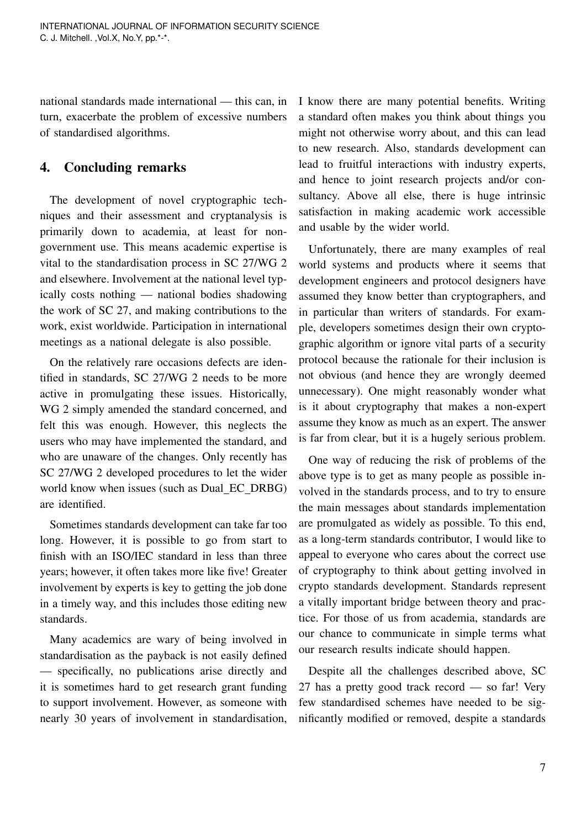national standards made international — this can, in turn, exacerbate the problem of excessive numbers of standardised algorithms.

# <span id="page-6-0"></span>4. Concluding remarks

The development of novel cryptographic techniques and their assessment and cryptanalysis is primarily down to academia, at least for nongovernment use. This means academic expertise is vital to the standardisation process in SC 27/WG 2 and elsewhere. Involvement at the national level typically costs nothing — national bodies shadowing the work of SC 27, and making contributions to the work, exist worldwide. Participation in international meetings as a national delegate is also possible.

On the relatively rare occasions defects are identified in standards, SC 27/WG 2 needs to be more active in promulgating these issues. Historically, WG 2 simply amended the standard concerned, and felt this was enough. However, this neglects the users who may have implemented the standard, and who are unaware of the changes. Only recently has SC 27/WG 2 developed procedures to let the wider world know when issues (such as Dual\_EC\_DRBG) are identified.

Sometimes standards development can take far too long. However, it is possible to go from start to finish with an ISO/IEC standard in less than three years; however, it often takes more like five! Greater involvement by experts is key to getting the job done in a timely way, and this includes those editing new standards.

Many academics are wary of being involved in standardisation as the payback is not easily defined — specifically, no publications arise directly and it is sometimes hard to get research grant funding to support involvement. However, as someone with nearly 30 years of involvement in standardisation,

I know there are many potential benefits. Writing a standard often makes you think about things you might not otherwise worry about, and this can lead to new research. Also, standards development can lead to fruitful interactions with industry experts, and hence to joint research projects and/or consultancy. Above all else, there is huge intrinsic satisfaction in making academic work accessible and usable by the wider world.

Unfortunately, there are many examples of real world systems and products where it seems that development engineers and protocol designers have assumed they know better than cryptographers, and in particular than writers of standards. For example, developers sometimes design their own cryptographic algorithm or ignore vital parts of a security protocol because the rationale for their inclusion is not obvious (and hence they are wrongly deemed unnecessary). One might reasonably wonder what is it about cryptography that makes a non-expert assume they know as much as an expert. The answer is far from clear, but it is a hugely serious problem.

One way of reducing the risk of problems of the above type is to get as many people as possible involved in the standards process, and to try to ensure the main messages about standards implementation are promulgated as widely as possible. To this end, as a long-term standards contributor, I would like to appeal to everyone who cares about the correct use of cryptography to think about getting involved in crypto standards development. Standards represent a vitally important bridge between theory and practice. For those of us from academia, standards are our chance to communicate in simple terms what our research results indicate should happen.

Despite all the challenges described above, SC 27 has a pretty good track record — so far! Very few standardised schemes have needed to be significantly modified or removed, despite a standards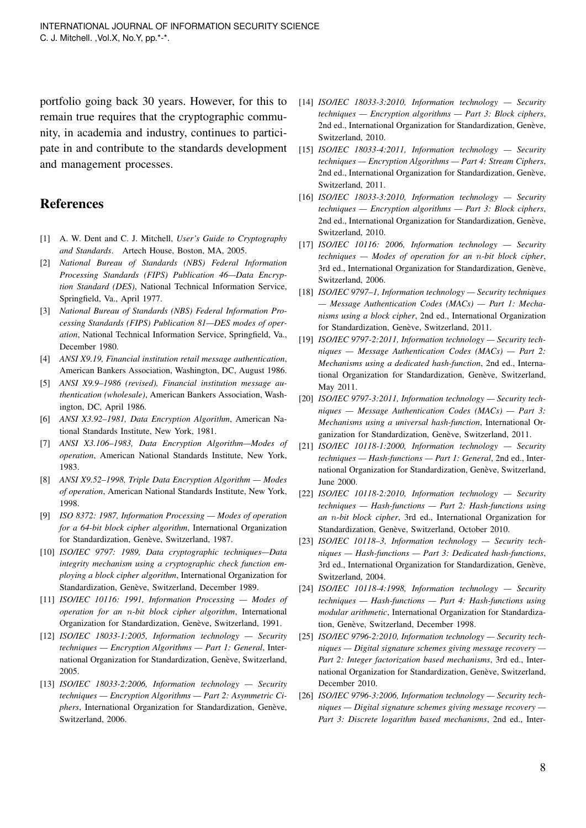portfolio going back 30 years. However, for this to remain true requires that the cryptographic community, in academia and industry, continues to participate in and contribute to the standards development and management processes.

## References

- <span id="page-7-0"></span>[1] A. W. Dent and C. J. Mitchell, *User's Guide to Cryptography and Standards*. Artech House, Boston, MA, 2005.
- <span id="page-7-1"></span>[2] *National Bureau of Standards (NBS) Federal Information Processing Standards (FIPS) Publication 46—Data Encryption Standard (DES)*, National Technical Information Service, Springfield, Va., April 1977.
- <span id="page-7-2"></span>[3] *National Bureau of Standards (NBS) Federal Information Processing Standards (FIPS) Publication 81—DES modes of operation*, National Technical Information Service, Springfield, Va., December 1980.
- <span id="page-7-3"></span>[4] *ANSI X9.19, Financial institution retail message authentication*, American Bankers Association, Washington, DC, August 1986.
- <span id="page-7-4"></span>[5] *ANSI X9.9–1986 (revised), Financial institution message authentication (wholesale)*, American Bankers Association, Washington, DC, April 1986.
- <span id="page-7-5"></span>[6] *ANSI X3.92–1981, Data Encryption Algorithm*, American National Standards Institute, New York, 1981.
- <span id="page-7-6"></span>[7] *ANSI X3.106–1983, Data Encryption Algorithm—Modes of operation*, American National Standards Institute, New York, 1983.
- <span id="page-7-7"></span>[8] *ANSI X9.52–1998, Triple Data Encryption Algorithm — Modes of operation*, American National Standards Institute, New York, 1998.
- <span id="page-7-8"></span>[9] *ISO 8372: 1987, Information Processing — Modes of operation for a 64-bit block cipher algorithm*, International Organization for Standardization, Genève, Switzerland, 1987.
- <span id="page-7-9"></span>[10] *ISO/IEC 9797: 1989, Data cryptographic techniques—Data integrity mechanism using a cryptographic check function employing a block cipher algorithm*, International Organization for Standardization, Genève, Switzerland, December 1989.
- <span id="page-7-10"></span>[11] *ISO/IEC 10116: 1991, Information Processing — Modes of operation for an* n*-bit block cipher algorithm*, International Organization for Standardization, Genève, Switzerland, 1991.
- <span id="page-7-11"></span>[12] *ISO/IEC 18033-1:2005, Information technology — Security techniques — Encryption Algorithms — Part 1: General*, International Organization for Standardization, Genève, Switzerland, 2005.
- <span id="page-7-12"></span>[13] *ISO/IEC 18033-2:2006, Information technology — Security techniques — Encryption Algorithms — Part 2: Asymmetric Ciphers*, International Organization for Standardization, Genève, Switzerland, 2006.
- <span id="page-7-13"></span>[14] *ISO/IEC 18033-3:2010, Information technology — Security techniques — Encryption algorithms — Part 3: Block ciphers*, 2nd ed., International Organization for Standardization, Genève, Switzerland, 2010.
- <span id="page-7-14"></span>[15] *ISO/IEC 18033-4:2011, Information technology — Security techniques — Encryption Algorithms — Part 4: Stream Ciphers*, 2nd ed., International Organization for Standardization, Genève, Switzerland, 2011.
- <span id="page-7-15"></span>[16] *ISO/IEC 18033-3:2010, Information technology — Security techniques — Encryption algorithms — Part 3: Block ciphers*, 2nd ed., International Organization for Standardization, Genève, Switzerland, 2010.
- <span id="page-7-16"></span>[17] *ISO/IEC 10116: 2006, Information technology — Security techniques — Modes of operation for an* n*-bit block cipher*, 3rd ed., International Organization for Standardization, Genève, Switzerland, 2006.
- <span id="page-7-17"></span>[18] *ISO/IEC 9797–1, Information technology — Security techniques — Message Authentication Codes (MACs) — Part 1: Mechanisms using a block cipher*, 2nd ed., International Organization for Standardization, Genève, Switzerland, 2011.
- <span id="page-7-18"></span>[19] *ISO/IEC 9797-2:2011, Information technology — Security techniques — Message Authentication Codes (MACs) — Part 2: Mechanisms using a dedicated hash-function*, 2nd ed., International Organization for Standardization, Genève, Switzerland, May 2011.
- <span id="page-7-19"></span>[20] *ISO/IEC 9797-3:2011, Information technology — Security techniques — Message Authentication Codes (MACs) — Part 3: Mechanisms using a universal hash-function*, International Organization for Standardization, Genève, Switzerland, 2011.
- <span id="page-7-20"></span>[21] *ISO/IEC 10118-1:2000, Information technology — Security techniques — Hash-functions — Part 1: General*, 2nd ed., International Organization for Standardization, Genève, Switzerland, June 2000.
- <span id="page-7-21"></span>[22] *ISO/IEC 10118-2:2010, Information technology — Security techniques — Hash-functions — Part 2: Hash-functions using an* n*-bit block cipher*, 3rd ed., International Organization for Standardization, Genève, Switzerland, October 2010.
- <span id="page-7-22"></span>[23] *ISO/IEC 10118–3, Information technology — Security techniques — Hash-functions — Part 3: Dedicated hash-functions*, 3rd ed., International Organization for Standardization, Genève, Switzerland, 2004.
- <span id="page-7-23"></span>[24] *ISO/IEC 10118-4:1998, Information technology — Security techniques — Hash-functions — Part 4: Hash-functions using modular arithmetic*, International Organization for Standardization, Genève, Switzerland, December 1998.
- <span id="page-7-24"></span>[25] *ISO/IEC 9796-2:2010, Information technology — Security techniques — Digital signature schemes giving message recovery — Part 2: Integer factorization based mechanisms*, 3rd ed., International Organization for Standardization, Genève, Switzerland, December 2010.
- <span id="page-7-25"></span>[26] *ISO/IEC 9796-3:2006, Information technology – Security techniques — Digital signature schemes giving message recovery — Part 3: Discrete logarithm based mechanisms*, 2nd ed., Inter-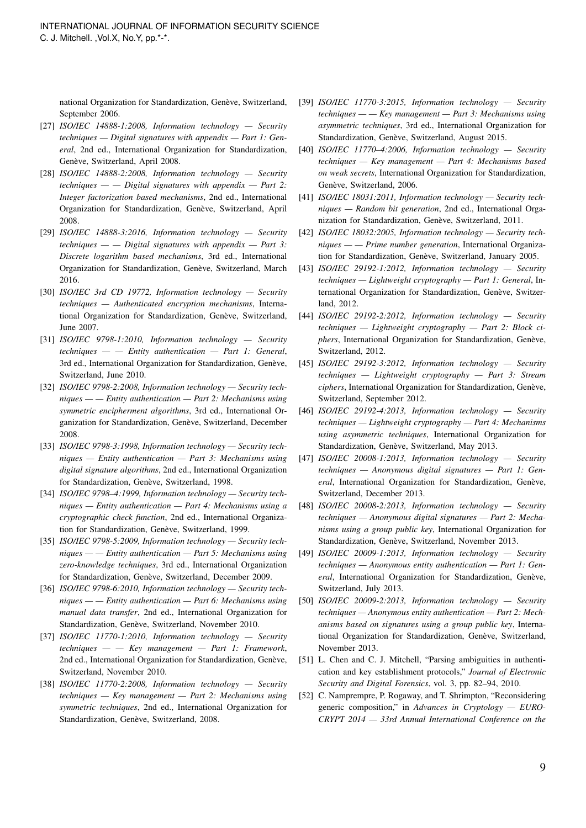national Organization for Standardization, Genève, Switzerland, September 2006.

- <span id="page-8-0"></span>[27] *ISO/IEC 14888-1:2008, Information technology — Security techniques — Digital signatures with appendix — Part 1: General*, 2nd ed., International Organization for Standardization, Genève, Switzerland, April 2008.
- <span id="page-8-1"></span>[28] *ISO/IEC 14888-2:2008, Information technology — Security techniques — — Digital signatures with appendix — Part 2: Integer factorization based mechanisms*, 2nd ed., International Organization for Standardization, Genève, Switzerland, April 2008.
- <span id="page-8-2"></span>[29] *ISO/IEC 14888-3:2016, Information technology — Security techniques — — Digital signatures with appendix — Part 3: Discrete logarithm based mechanisms*, 3rd ed., International Organization for Standardization, Genève, Switzerland, March 2016.
- <span id="page-8-3"></span>[30] *ISO/IEC 3rd CD 19772, Information technology — Security techniques — Authenticated encryption mechanisms*, International Organization for Standardization, Genève, Switzerland, June 2007.
- <span id="page-8-4"></span>[31] *ISO/IEC 9798-1:2010, Information technology — Security techniques — — Entity authentication — Part 1: General*, 3rd ed., International Organization for Standardization, Genève, Switzerland, June 2010.
- <span id="page-8-5"></span>[32] *ISO/IEC 9798-2:2008, Information technology — Security techniques — — Entity authentication — Part 2: Mechanisms using symmetric encipherment algorithms*, 3rd ed., International Organization for Standardization, Genève, Switzerland, December 2008.
- <span id="page-8-6"></span>[33] *ISO/IEC 9798-3:1998, Information technology — Security techniques — Entity authentication — Part 3: Mechanisms using digital signature algorithms*, 2nd ed., International Organization for Standardization, Genève, Switzerland, 1998.
- <span id="page-8-7"></span>[34] *ISO/IEC 9798–4:1999, Information technology — Security techniques — Entity authentication — Part 4: Mechanisms using a cryptographic check function*, 2nd ed., International Organization for Standardization, Genève, Switzerland, 1999.
- <span id="page-8-8"></span>[35] *ISO/IEC 9798-5:2009, Information technology — Security techniques — — Entity authentication — Part 5: Mechanisms using zero-knowledge techniques*, 3rd ed., International Organization for Standardization, Genève, Switzerland, December 2009.
- <span id="page-8-9"></span>[36] *ISO/IEC 9798-6:2010, Information technology - Security techniques — — Entity authentication — Part 6: Mechanisms using manual data transfer*, 2nd ed., International Organization for Standardization, Genève, Switzerland, November 2010.
- <span id="page-8-10"></span>[37] *ISO/IEC 11770-1:2010, Information technology — Security techniques — — Key management — Part 1: Framework*, 2nd ed., International Organization for Standardization, Genève, Switzerland, November 2010.
- <span id="page-8-11"></span>[38] *ISO/IEC 11770-2:2008, Information technology — Security techniques — Key management — Part 2: Mechanisms using symmetric techniques*, 2nd ed., International Organization for Standardization, Genève, Switzerland, 2008.
- <span id="page-8-12"></span>[39] *ISO/IEC 11770-3:2015, Information technology — Security techniques — — Key management — Part 3: Mechanisms using asymmetric techniques*, 3rd ed., International Organization for Standardization, Genève, Switzerland, August 2015.
- <span id="page-8-13"></span>[40] *ISO/IEC 11770–4:2006, Information technology — Security techniques — Key management — Part 4: Mechanisms based on weak secrets*, International Organization for Standardization, Genève, Switzerland, 2006.
- <span id="page-8-14"></span>[41] *ISO/IEC 18031:2011, Information technology — Security techniques — Random bit generation*, 2nd ed., International Organization for Standardization, Genève, Switzerland, 2011.
- <span id="page-8-15"></span>[42] *ISO/IEC 18032:2005, Information technology – Security techniques — — Prime number generation*, International Organization for Standardization, Genève, Switzerland, January 2005.
- <span id="page-8-16"></span>[43] *ISO/IEC 29192-1:2012, Information technology — Security techniques — Lightweight cryptography — Part 1: General*, International Organization for Standardization, Genève, Switzerland, 2012.
- <span id="page-8-17"></span>[44] *ISO/IEC 29192-2:2012, Information technology — Security techniques — Lightweight cryptography — Part 2: Block ciphers*, International Organization for Standardization, Genève, Switzerland, 2012.
- <span id="page-8-18"></span>[45] *ISO/IEC 29192-3:2012, Information technology — Security techniques — Lightweight cryptography — Part 3: Stream* ciphers, International Organization for Standardization, Genève, Switzerland, September 2012.
- <span id="page-8-19"></span>[46] *ISO/IEC 29192-4:2013, Information technology — Security techniques — Lightweight cryptography — Part 4: Mechanisms using asymmetric techniques*, International Organization for Standardization, Genève, Switzerland, May 2013.
- <span id="page-8-20"></span>[47] *ISO/IEC 20008-1:2013, Information technology — Security techniques — Anonymous digital signatures — Part 1: Gen*eral, International Organization for Standardization, Genève, Switzerland, December 2013.
- <span id="page-8-21"></span>[48] *ISO/IEC 20008-2:2013, Information technology — Security techniques — Anonymous digital signatures — Part 2: Mechanisms using a group public key*, International Organization for Standardization, Genève, Switzerland, November 2013.
- <span id="page-8-22"></span>[49] *ISO/IEC 20009-1:2013, Information technology — Security techniques — Anonymous entity authentication — Part 1: General*, International Organization for Standardization, Genève, Switzerland, July 2013.
- <span id="page-8-23"></span>[50] *ISO/IEC 20009-2:2013, Information technology — Security techniques — Anonymous entity authentication — Part 2: Mechanisms based on signatures using a group public key*, International Organization for Standardization, Genève, Switzerland, November 2013.
- <span id="page-8-24"></span>[51] L. Chen and C. J. Mitchell, "Parsing ambiguities in authentication and key establishment protocols," *Journal of Electronic Security and Digital Forensics*, vol. 3, pp. 82–94, 2010.
- <span id="page-8-25"></span>[52] C. Namprempre, P. Rogaway, and T. Shrimpton, "Reconsidering generic composition," in *Advances in Cryptology — EURO-CRYPT 2014 — 33rd Annual International Conference on the*